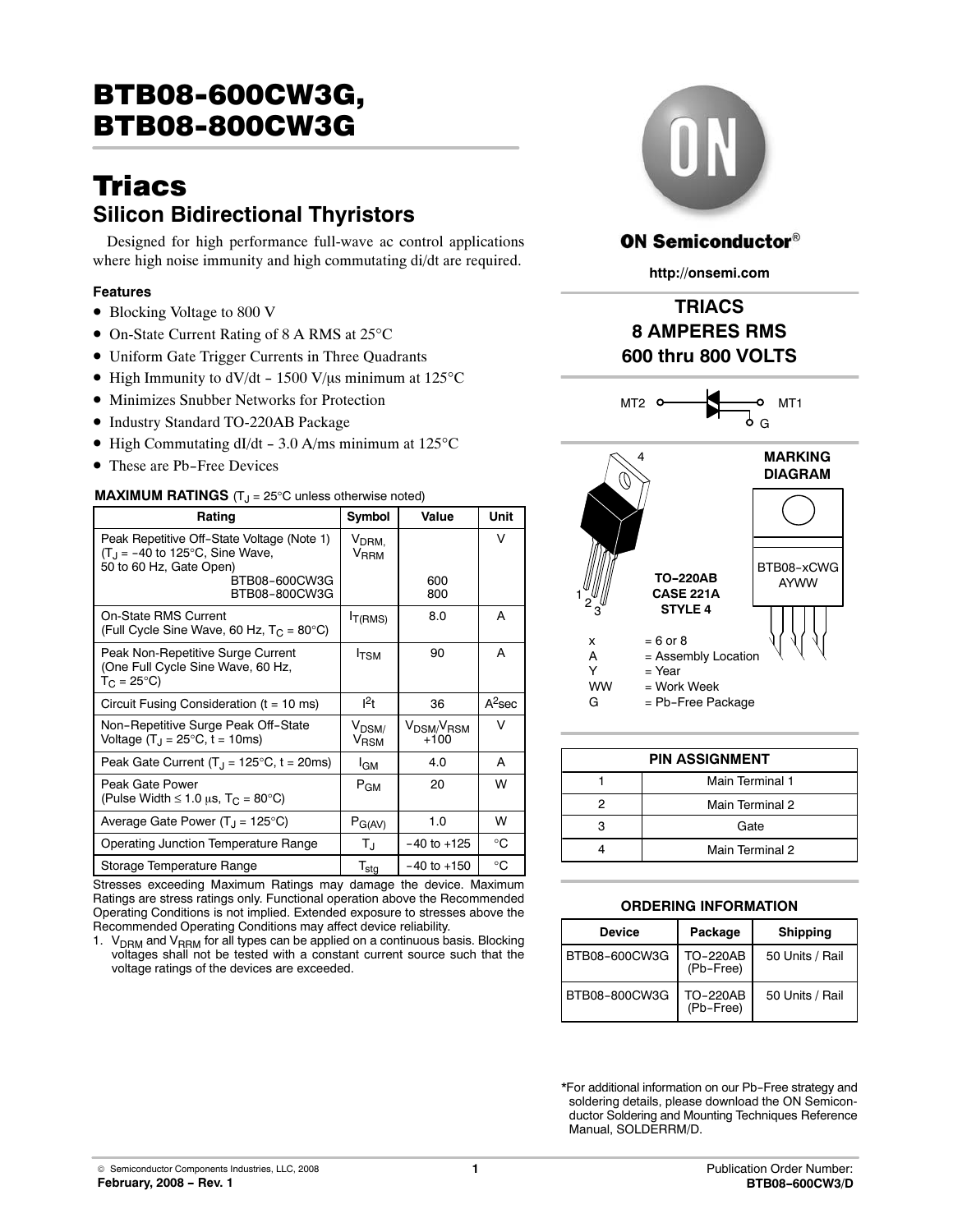# **Triacs Silicon Bidirectional Thyristors**

Designed for high performance full‐wave ac control applications where high noise immunity and high commutating di/dt are required.

### **Features**

- Blocking Voltage to 800 V
- On-State Current Rating of 8 A RMS at 25°C
- Uniform Gate Trigger Currents in Three Quadrants
- High Immunity to dV/dt 1500 V/ $\mu$ s minimum at 125°C
- Minimizes Snubber Networks for Protection
- Industry Standard TO-220AB Package
- High Commutating dI/dt 3.0 A/ms minimum at  $125^{\circ}$ C
- These are Pb-Free Devices

#### **MAXIMUM RATINGS** (T<sub>J</sub> = 25°C unless otherwise noted)

| Rating                                                                                                     | Symbol                                     | Value                                        | Unit      |
|------------------------------------------------------------------------------------------------------------|--------------------------------------------|----------------------------------------------|-----------|
| Peak Repetitive Off-State Voltage (Note 1)<br>$(T_1 = -40$ to 125°C, Sine Wave,<br>50 to 60 Hz, Gate Open) | $V_{DRM,}$<br>V <sub>RRM</sub>             |                                              | v         |
| BTB08-600CW3G<br>BTB08-800CW3G                                                                             |                                            | 600<br>800                                   |           |
| <b>On-State RMS Current</b><br>(Full Cycle Sine Wave, 60 Hz, $T_C = 80^{\circ}$ C)                         | I <sub>T</sub> (RMS)                       | 8.0                                          | A         |
| Peak Non-Repetitive Surge Current<br>(One Full Cycle Sine Wave, 60 Hz,<br>$T_C = 25^{\circ}C$              | <b>I</b> TSM                               | 90                                           | A         |
| Circuit Fusing Consideration ( $t = 10$ ms)                                                                | $l^2t$                                     | 36                                           | $A^2$ sec |
| Non-Repetitive Surge Peak Off-State<br>Voltage $(T_1 = 25^{\circ}C, t = 10$ ms)                            | V <sub>DSM</sub><br><b>V<sub>RSM</sub></b> | V <sub>DSM/</sub> V <sub>RSM</sub><br>$+100$ | v         |
| Peak Gate Current $(T_J = 125^{\circ}C, t = 20 \text{ms})$                                                 | I <sub>GM</sub>                            | 4.0                                          | A         |
| Peak Gate Power<br>(Pulse Width $\leq 1.0$ µs, T <sub>C</sub> = 80°C)                                      | $P_{GM}$                                   | 20                                           | W         |
| Average Gate Power $(T_J = 125^{\circ}C)$                                                                  | $P_{G(AV)}$                                | 1.0                                          | W         |
| Operating Junction Temperature Range                                                                       | TJ                                         | $-40$ to $+125$                              | °C        |
| Storage Temperature Range                                                                                  | $T_{\text{stg}}$                           | $-40$ to $+150$                              | °C        |

Stresses exceeding Maximum Ratings may damage the device. Maximum Ratings are stress ratings only. Functional operation above the Recommended Operating Conditions is not implied. Extended exposure to stresses above the Recommended Operating Conditions may affect device reliability.

1.  $V_{\text{DRM}}$  and  $V_{\text{RRM}}$  for all types can be applied on a continuous basis. Blocking voltages shall not be tested with a constant current source such that the voltage ratings of the devices are exceeded.



## **ON Semiconductor®**

**http://onsemi.com**

# **TRIACS 8 AMPERES RMS 600 thru 800 VOLTS**



| <b>PIN ASSIGNMENT</b> |                 |  |  |
|-----------------------|-----------------|--|--|
|                       | Main Terminal 1 |  |  |
|                       | Main Terminal 2 |  |  |
|                       | Gate            |  |  |
|                       | Main Terminal 2 |  |  |

#### **ORDERING INFORMATION**

| <b>Device</b> | Package                      | <b>Shipping</b> |
|---------------|------------------------------|-----------------|
| BTB08-600CW3G | <b>TO-220AB</b><br>(Pb-Free) | 50 Units / Rail |
| BTB08-800CW3G | TO-220AB<br>(Pb-Free)        | 50 Units / Rail |

\*For additional information on our Pb-Free strategy and soldering details, please download the ON Semicon‐ ductor Soldering and Mounting Techniques Reference Manual, SOLDERRM/D.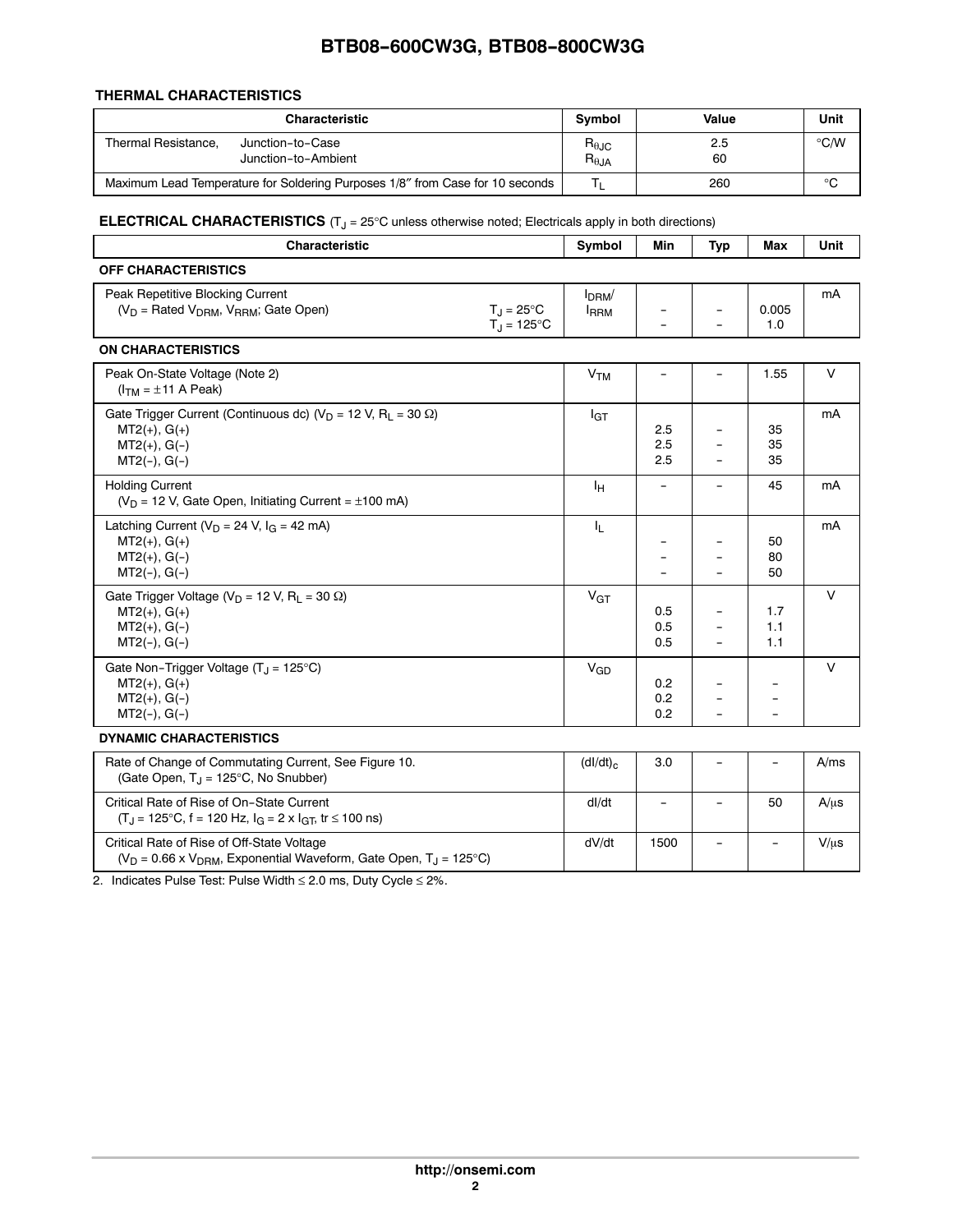#### **THERMAL CHARACTERISTICS**

|                     | <b>Characteristic</b>                                                         | <b>Symbol</b>                             | Value     | Unit          |
|---------------------|-------------------------------------------------------------------------------|-------------------------------------------|-----------|---------------|
| Thermal Resistance. | Junction-to-Case<br>Junction-to-Ambient                                       | $R_{\theta \text{JC}}$<br>$R_{\theta JA}$ | 2.5<br>60 | $\degree$ C/W |
|                     | Maximum Lead Temperature for Soldering Purposes 1/8" from Case for 10 seconds |                                           | 260       | °C            |

**ELECTRICAL CHARACTERISTICS** (T<sub>J</sub> = 25°C unless otherwise noted; Electricals apply in both directions)

| Characteristic                                                                                                                            |                                 | Min                      | <b>Typ</b>               | Max                      | Unit      |
|-------------------------------------------------------------------------------------------------------------------------------------------|---------------------------------|--------------------------|--------------------------|--------------------------|-----------|
| <b>OFF CHARACTERISTICS</b>                                                                                                                |                                 |                          |                          |                          |           |
| Peak Repetitive Blocking Current<br>$(V_D =$ Rated $V_{DRM}$ , $V_{RRM}$ ; Gate Open)<br>$T_{\rm J} = 25^{\circ}$ C<br>$T_J = 125$ °C     | I <sub>DRM</sub><br><b>IRRM</b> |                          |                          | 0.005<br>1.0             | mA        |
| <b>ON CHARACTERISTICS</b>                                                                                                                 |                                 |                          |                          |                          |           |
| Peak On-State Voltage (Note 2)<br>$(ITM = ±11 A Peak)$                                                                                    | V <sub>TM</sub>                 |                          |                          | 1.55                     | $\vee$    |
| Gate Trigger Current (Continuous dc) ( $V_D$ = 12 V, R <sub>L</sub> = 30 $\Omega$ )<br>$MT2(+), G(+)$<br>$MT2(+), G(-)$<br>$MT2(-), G(-)$ | lgt                             | 2.5<br>2.5<br>2.5        |                          | 35<br>35<br>35           | mA        |
| <b>Holding Current</b><br>( $V_D$ = 12 V, Gate Open, Initiating Current = $\pm$ 100 mA)                                                   | ΙH                              | $\overline{\phantom{a}}$ |                          | 45                       | mA        |
| Latching Current ( $V_D$ = 24 V, $I_G$ = 42 mA)<br>$MT2(+), G(+)$<br>$MT2(+), G(-)$<br>$MT2(-), G(-)$                                     | IL.                             |                          |                          | 50<br>80<br>50           | mA        |
| Gate Trigger Voltage ( $V_D$ = 12 V, R <sub>L</sub> = 30 $\Omega$ )<br>$MT2(+), G(+)$<br>$MT2(+), G(-)$<br>$MT2(-), G(-)$                 | $V_{GT}$                        | 0.5<br>0.5<br>0.5        | $\overline{\phantom{0}}$ | 1.7<br>1.1<br>1.1        | $\vee$    |
| Gate Non-Trigger Voltage $(T_J = 125^{\circ}C)$<br>$MT2(+), G(+)$<br>$MT2(+), G(-)$<br>$MT2(-), G(-)$                                     | $V_{GD}$                        | 0.2<br>0.2<br>0.2        |                          |                          | V         |
| <b>DYNAMIC CHARACTERISTICS</b>                                                                                                            |                                 |                          |                          |                          |           |
| Rate of Change of Commutating Current, See Figure 10.<br>(Gate Open, $T_1 = 125^{\circ}C$ , No Snubber)                                   | $(dI/dt)_{c}$                   | 3.0                      |                          | $\overline{\phantom{a}}$ | A/ms      |
| Critical Rate of Rise of On-State Current<br>$(T_J = 125^{\circ}C, f = 120 Hz, I_G = 2 \times I_{GT}, tr \le 100$ ns)                     | dl/dt                           | $\overline{\phantom{a}}$ | $\qquad \qquad -$        | 50                       | $A/\mu s$ |
| Critical Rate of Rise of Off-State Voltage<br>( $V_D$ = 0.66 x $V_{DRM}$ , Exponential Waveform, Gate Open, T <sub>J</sub> = 125°C)       | dV/dt                           | 1500                     |                          |                          | $V/\mu s$ |

2. Indicates Pulse Test: Pulse Width ≤ 2.0 ms, Duty Cycle ≤ 2%.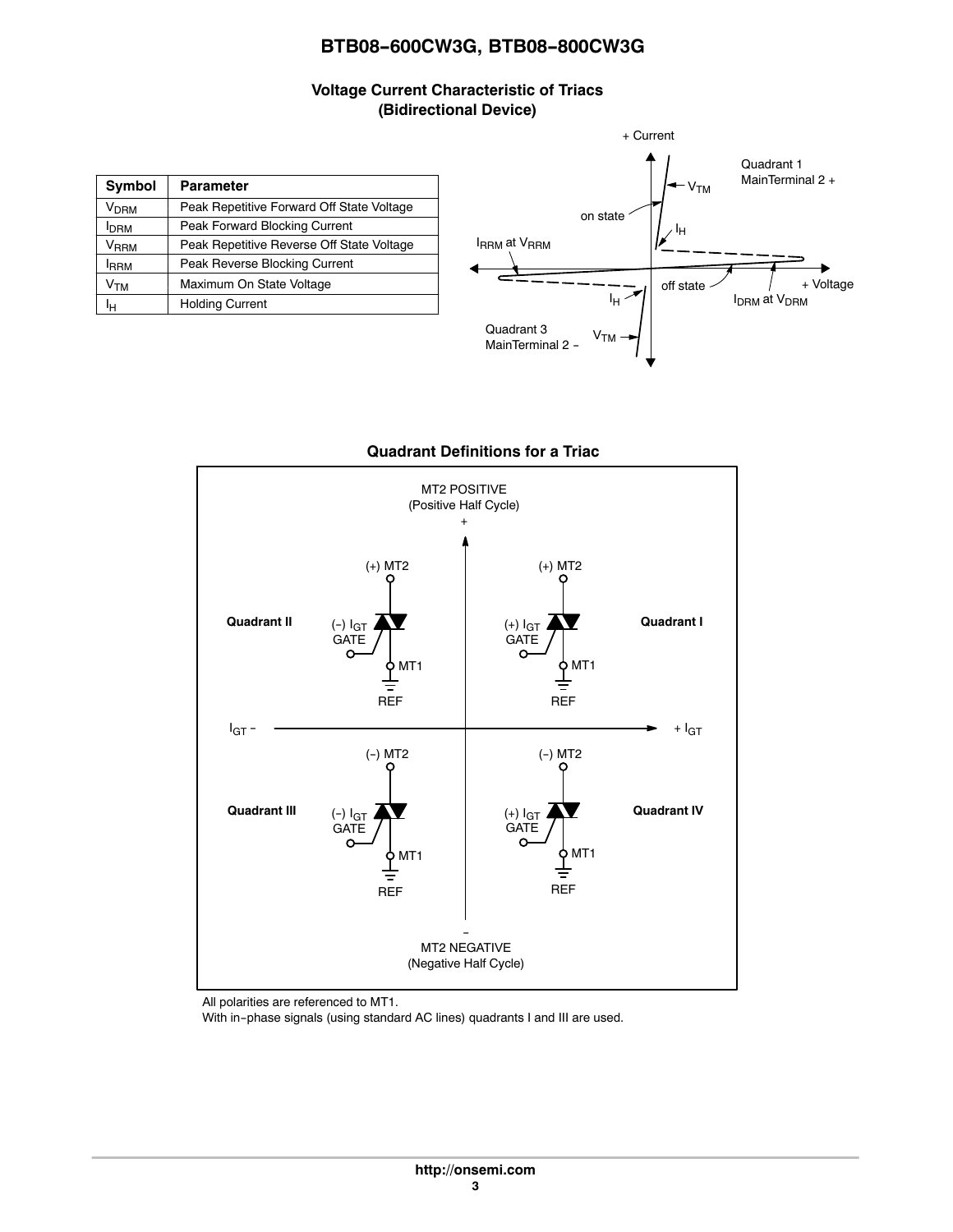## **Voltage Current Characteristic of Triacs (Bidirectional Device)**

| Symbol                    | <b>Parameter</b>                          |
|---------------------------|-------------------------------------------|
| <b>V<sub>DRM</sub></b>    | Peak Repetitive Forward Off State Voltage |
| <b>I</b> DRM              | Peak Forward Blocking Current             |
| $\mathsf{V}_\mathsf{RRM}$ | Peak Repetitive Reverse Off State Voltage |
| <b>IRRM</b>               | Peak Reverse Blocking Current             |
| Ѵтм                       | Maximum On State Voltage                  |
| Iн                        | <b>Holding Current</b>                    |



## **Quadrant Definitions for a Triac**



All polarities are referenced to MT1.

With in-phase signals (using standard AC lines) quadrants I and III are used.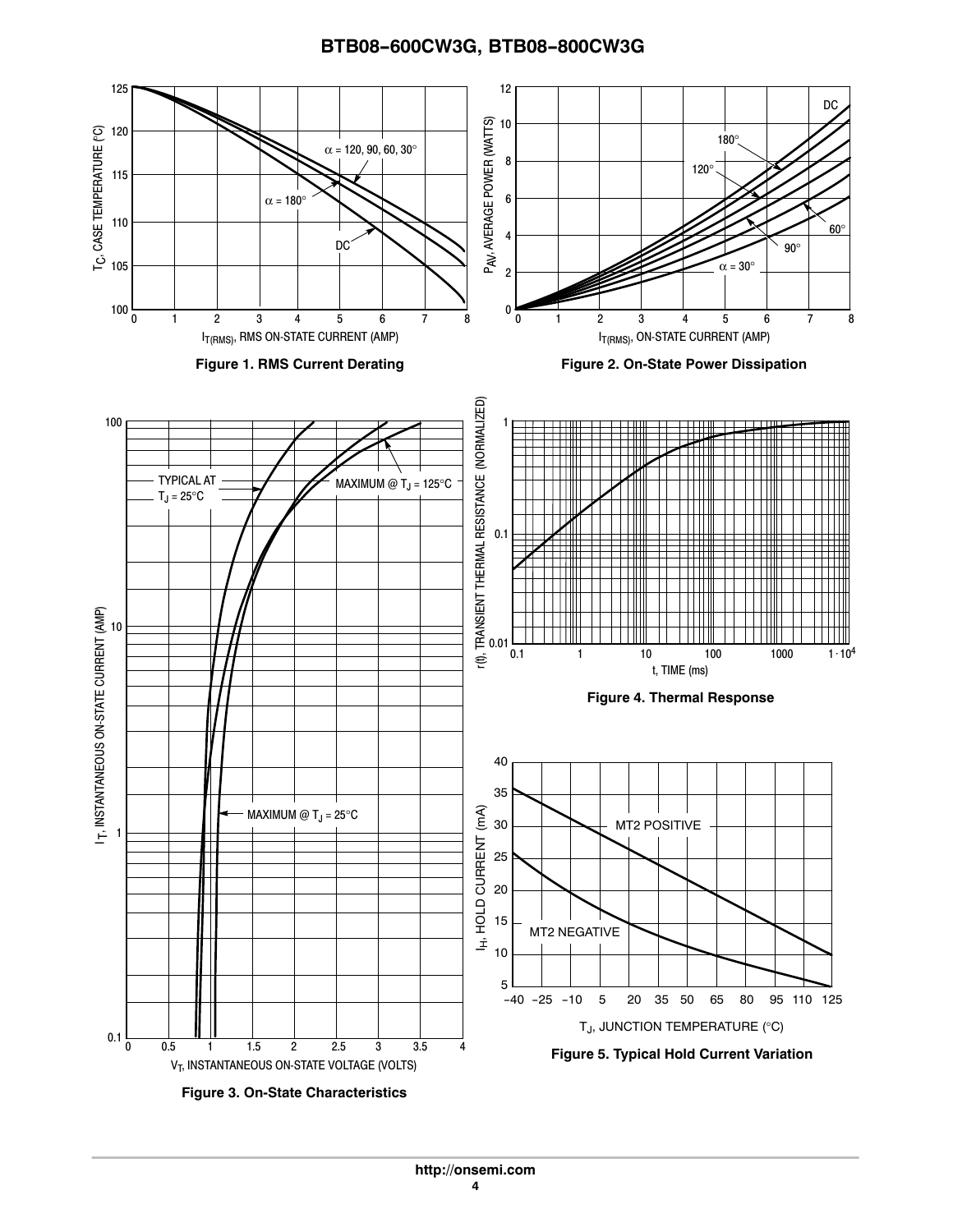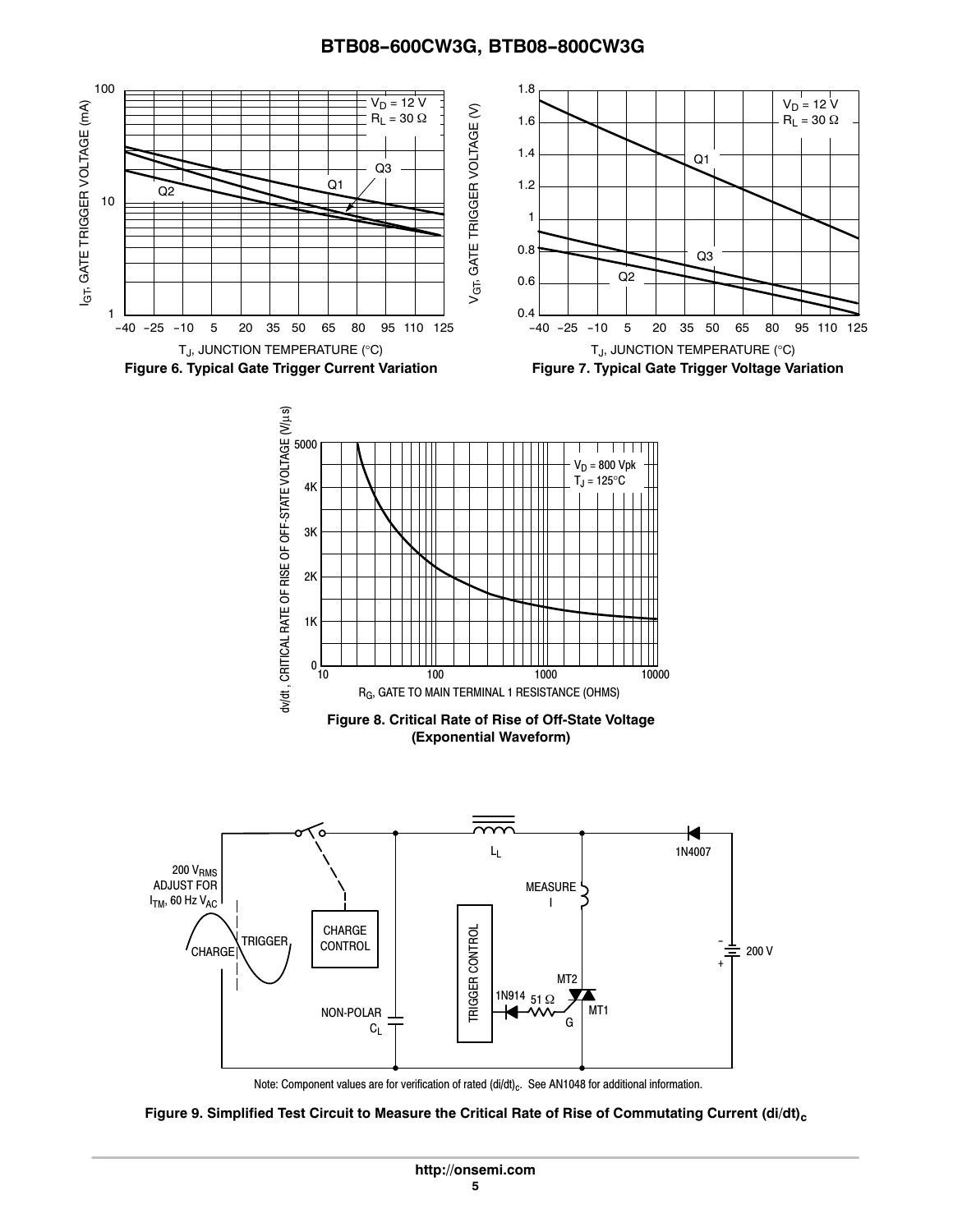

Note: Component values are for verification of rated  $\left(\frac{di}{dt}\right)_c$ . See AN1048 for additional information.

Figure 9. Simplified Test Circuit to Measure the Critical Rate of Rise of Commutating Current (di/dt)<sub>c</sub>